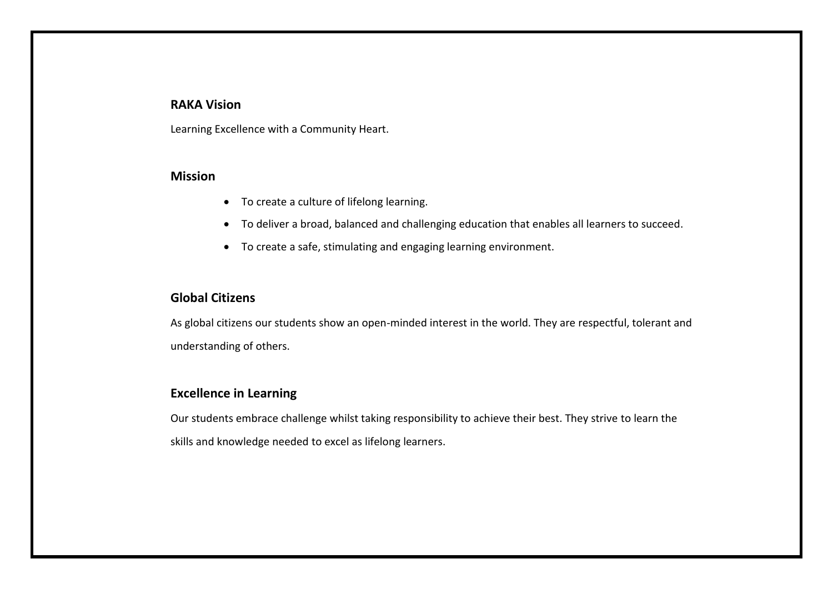# **RAKA Vision**

Learning Excellence with a Community Heart.

### **Mission**

- To create a culture of lifelong learning.
- To deliver a broad, balanced and challenging education that enables all learners to succeed.
- To create a safe, stimulating and engaging learning environment.

### **Global Citizens**

As global citizens our students show an open-minded interest in the world. They are respectful, tolerant and understanding of others.

# **Excellence in Learning**

Our students embrace challenge whilst taking responsibility to achieve their best. They strive to learn the skills and knowledge needed to excel as lifelong learners.